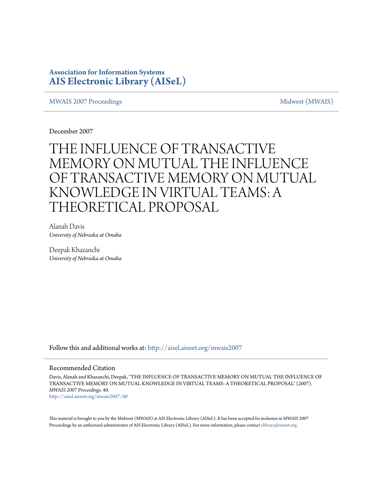## **Association for Information Systems [AIS Electronic Library \(AISeL\)](http://aisel.aisnet.org?utm_source=aisel.aisnet.org%2Fmwais2007%2F40&utm_medium=PDF&utm_campaign=PDFCoverPages)**

## [MWAIS 2007 Proceedings](http://aisel.aisnet.org/mwais2007?utm_source=aisel.aisnet.org%2Fmwais2007%2F40&utm_medium=PDF&utm_campaign=PDFCoverPages) and the matrix of the [Midwest \(MWAIS\)](http://aisel.aisnet.org/mwais?utm_source=aisel.aisnet.org%2Fmwais2007%2F40&utm_medium=PDF&utm_campaign=PDFCoverPages)

December 2007

# THE INFLUENCE OF TRANSACTIVE MEMORY ON MUTUAL THE INFLUENCE OF TRANSACTIVE MEMORY ON MUTUAL KNOWLEDGE IN VIRTUAL TEAMS: A THEORETICAL PROPOSAL

Alanah Davis *University of Nebraska at Omaha*

Deepak Khazanchi *University of Nebraska at Omaha*

Follow this and additional works at: [http://aisel.aisnet.org/mwais2007](http://aisel.aisnet.org/mwais2007?utm_source=aisel.aisnet.org%2Fmwais2007%2F40&utm_medium=PDF&utm_campaign=PDFCoverPages)

### Recommended Citation

Davis, Alanah and Khazanchi, Deepak, "THE INFLUENCE OF TRANSACTIVE MEMORY ON MUTUAL THE INFLUENCE OF TRANSACTIVE MEMORY ON MUTUAL KNOWLEDGE IN VIRTUAL TEAMS: A THEORETICAL PROPOSAL" (2007). *MWAIS 2007 Proceedings*. 40. [http://aisel.aisnet.org/mwais2007/40](http://aisel.aisnet.org/mwais2007/40?utm_source=aisel.aisnet.org%2Fmwais2007%2F40&utm_medium=PDF&utm_campaign=PDFCoverPages)

This material is brought to you by the Midwest (MWAIS) at AIS Electronic Library (AISeL). It has been accepted for inclusion in MWAIS 2007 Proceedings by an authorized administrator of AIS Electronic Library (AISeL). For more information, please contact [elibrary@aisnet.org](mailto:elibrary@aisnet.org%3E).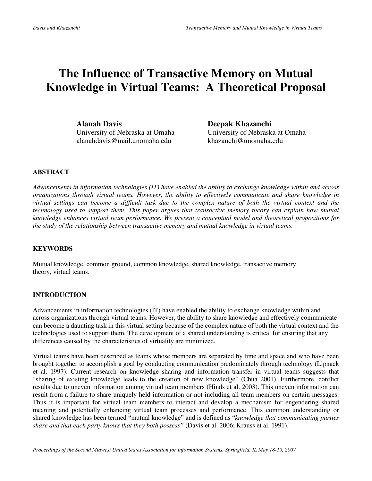## **The Influence of Transactive Memory on Mutual Knowledge in Virtual Teams: A Theoretical Proposal**

**Alanah Davis Deepak Khazanchi**  University of Nebraska at Omaha University of Nebraska at Omaha alanahdavis@mail.unomaha.edu khazanchi@unomaha.edu

## **ABSTRACT**

*Advancements in information technologies (IT) have enabled the ability to exchange knowledge within and across organizations through virtual teams. However, the ability to effectively communicate and share knowledge in virtual settings can become a difficult task due to the complex nature of both the virtual context and the technology used to support them. This paper argues that transactive memory theory can explain how mutual knowledge enhances virtual team performance. We present a conceptual model and theoretical propositions for the study of the relationship between transactive memory and mutual knowledge in virtual teams.* 

## **KEYWORDS**

Mutual knowledge, common ground, common knowledge, shared knowledge, transactive memory theory, virtual teams.

## **INTRODUCTION**

Advancements in information technologies (IT) have enabled the ability to exchange knowledge within and across organizations through virtual teams. However, the ability to share knowledge and effectively communicate can become a daunting task in this virtual setting because of the complex nature of both the virtual context and the technologies used to support them. The development of a shared understanding is critical for ensuring that any differences caused by the characteristics of virtuality are minimized.

Virtual teams have been described as teams whose members are separated by time and space and who have been brought together to accomplish a goal by conducting communication predominately through technology (Lipnack et al. 1997). Current research on knowledge sharing and information transfer in virtual teams suggests that "sharing of existing knowledge leads to the creation of new knowledge" (Chua 2001). Furthermore, conflict results due to uneven information among virtual team members (Hinds et al. 2003). This uneven information can result from a failure to share uniquely held information or not including all team members on certain messages. Thus it is important for virtual team members to interact and develop a mechanism for engendering shared meaning and potentially enhancing virtual team processes and performance. This common understanding or shared knowledge has been termed "mutual knowledge" and is defined as "*knowledge that communicating parties share and that each party knows that they both possess"* (Davis et al. 2006; Krauss et al. 1991).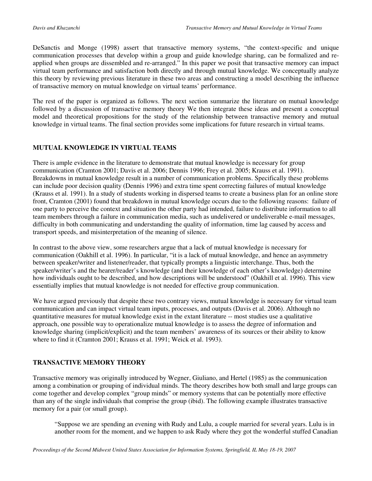DeSanctis and Monge (1998) assert that transactive memory systems, "the context-specific and unique communication processes that develop within a group and guide knowledge sharing, can be formalized and reapplied when groups are dissembled and re-arranged." In this paper we posit that transactive memory can impact virtual team performance and satisfaction both directly and through mutual knowledge. We conceptually analyze this theory by reviewing previous literature in these two areas and constructing a model describing the influence of transactive memory on mutual knowledge on virtual teams' performance.

The rest of the paper is organized as follows. The next section summarize the literature on mutual knowledge followed by a discussion of transactive memory theory We then integrate these ideas and present a conceptual model and theoretical propositions for the study of the relationship between transactive memory and mutual knowledge in virtual teams. The final section provides some implications for future research in virtual teams.

## **MUTUAL KNOWLEDGE IN VIRTUAL TEAMS**

There is ample evidence in the literature to demonstrate that mutual knowledge is necessary for group communication (Cramton 2001; Davis et al. 2006; Dennis 1996; Frey et al. 2005; Krauss et al. 1991). Breakdowns in mutual knowledge result in a number of communication problems. Specifically these problems can include poor decision quality (Dennis 1996) and extra time spent correcting failures of mutual knowledge (Krauss et al. 1991). In a study of students working in dispersed teams to create a business plan for an online store front, Cramton (2001) found that breakdown in mutual knowledge occurs due to the following reasons: failure of one party to perceive the context and situation the other party had intended, failure to distribute information to all team members through a failure in communication media, such as undelivered or undeliverable e-mail messages, difficulty in both communicating and understanding the quality of information, time lag caused by access and transport speeds, and misinterpretation of the meaning of silence.

In contrast to the above view, some researchers argue that a lack of mutual knowledge is necessary for communication (Oakhill et al. 1996). In particular, "it is a lack of mutual knowledge, and hence an asymmetry between speaker/writer and listener/reader, that typically prompts a linguistic interchange. Thus, both the speaker/writer's and the hearer/reader's knowledge (and their knowledge of each other's knowledge) determine how individuals ought to be described, and how descriptions will be understood" (Oakhill et al. 1996). This view essentially implies that mutual knowledge is not needed for effective group communication.

We have argued previously that despite these two contrary views, mutual knowledge is necessary for virtual team communication and can impact virtual team inputs, processes, and outputs (Davis et al. 2006). Although no quantitative measures for mutual knowledge exist in the extant literature -- most studies use a qualitative approach, one possible way to operationalize mutual knowledge is to assess the degree of information and knowledge sharing (implicit/explicit) and the team members' awareness of its sources or their ability to know where to find it (Cramton 2001; Krauss et al. 1991; Weick et al. 1993).

## **TRANSACTIVE MEMORY THEORY**

Transactive memory was originally introduced by Wegner, Giuliano, and Hertel (1985) as the communication among a combination or grouping of individual minds. The theory describes how both small and large groups can come together and develop complex "group minds" or memory systems that can be potentially more effective than any of the single individuals that comprise the group (ibid). The following example illustrates transactive memory for a pair (or small group).

"Suppose we are spending an evening with Rudy and Lulu, a couple married for several years. Lulu is in another room for the moment, and we happen to ask Rudy where they got the wonderful stuffed Canadian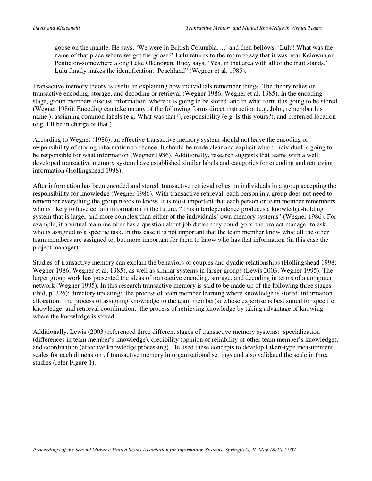goose on the mantle. He says, 'We were in British Columbia…,' and then bellows, 'Lulu! What was the name of that place where we got the goose?' Lulu returns to the room to say that it was near Kelowna or Penticton-somewhere along Lake Okanogan. Rudy says, 'Yes, in that area with all of the fruit stands.' Lulu finally makes the identification: Peachland" (Wegner et al. 1985).

Transactive memory theory is useful in explaining how individuals remember things. The theory relies on transactive encoding, storage, and decoding or retrieval (Wegner 1986; Wegner et al. 1985). In the encoding stage, group members discuss information, where it is going to be stored, and in what form it is going to be stored (Wegner 1986). Encoding can take on any of the following forms direct instruction (e.g. John, remember his name.), assigning common labels (e.g. What was that?), responsibility (e.g. Is this yours?), and preferred location (e.g. I'll be in charge of that.).

According to Wegner (1986), an effective transactive memory system should not leave the encoding or responsibility of storing information to chance. It should be made clear and explicit which individual is going to be responsible for what information (Wegner 1986). Additionally, research suggests that teams with a well developed transactive memory system have established similar labels and categories for encoding and retrieving information (Hollingshead 1998).

After information has been encoded and stored, transactive retrieval relies on individuals in a group accepting the responsibility for knowledge (Wegner 1986). With transactive retrieval, each person in a group does not need to remember everything the group needs to know. It is most important that each person or team member remembers who is likely to have certain information in the future. "This interdependence produces a knowledge-holding system that is larger and more complex than either of the individuals' own memory systems" (Wegner 1986). For example, if a virtual team member has a question about job duties they could go to the project manager to ask who is assigned to a specific task. In this case it is not important that the team member know what all the other team members are assigned to, but more important for them to know who has that information (in this case the project manager).

Studies of transactive memory can explain the behaviors of couples and dyadic relationships (Hollingshead 1998; Wegner 1986; Wegner et al. 1985), as well as similar systems in larger groups (Lewis 2003; Wegner 1995). The larger group work has presented the ideas of transactive encoding, storage, and decoding in terms of a computer network (Wegner 1995). In this research transactive memory is said to be made up of the following three stages (ibid, p. 326): directory updating: the process of team member learning where knowledge is stored, information allocation: the process of assigning knowledge to the team member(s) whose expertise is best suited for specific knowledge, and retrieval coordination: the process of retrieving knowledge by taking advantage of knowing where the knowledge is stored.

Additionally, Lewis (2003) referenced three different stages of transactive memory systems: specialization (differences in team member's knowledge), credibility (opinion of reliability of other team member's knowledge), and coordination (effective knowledge processing). He used these concepts to develop Likert-type measurement scales for each dimension of transactive memory in organizational settings and also validated the scale in three studies (refer Figure 1).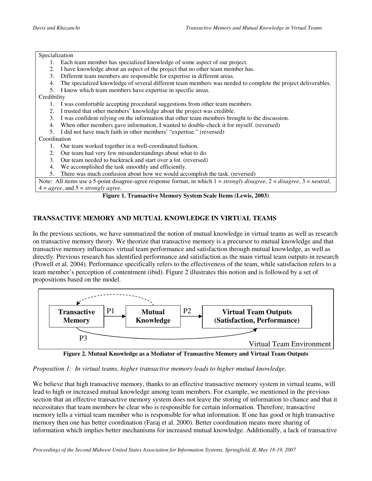#### Specialization

- 1. Each team member has specialized knowledge of some aspect of our project.
- 2. I have knowledge about an aspect of the project that no other team member has.
- 3. Different team members are responsible for expertise in different areas.
- The specialized knowledge of several different team members was needed to complete the project deliverables.
- 5. I know which team members have expertise in specific areas.

**Credibility** 

- 1. I was comfortable accepting procedural suggestions from other team members.
- 2. I trusted that other members' knowledge about the project was credible.
- 3. I was confident relying on the information that other team members brought to the discussion.
- 4. When other members gave information, I wanted to double-check it for myself. (reversed)
- 5. I did not have much faith in other members' "expertise." (reversed)

### Coordination

- 1. Our team worked together in a well-coordinated fashion.
- 2. Our team had very few misunderstandings about what to do.
- 3. Our team needed to backtrack and start over a lot. (reversed)
- 4. We accomplished the task smoothly and efficiently.
- 5. There was much confusion about how we would accomplish the task. (reversed)

Note: All items use a 5-point disagree-agree response format, in which 1 = *strongly disagree*, 2 = *disagree*, 3 = *neutral*,  $4 = agree$ , and  $5 = strongly agree$ .

## **Figure 1. Transactive Memory System Scale Items (Lewis, 2003)**

## **TRANSACTIVE MEMORY AND MUTUAL KNOWLEDGE IN VIRTUAL TEAMS**

In the previous sections, we have summarized the notion of mutual knowledge in virtual teams as well as research on transactive memory theory. We theorize that transactive memory is a precursor to mutual knowledge and that transactive memory influences virtual team performance and satisfaction through mutual knowledge, as well as directly. Previous research has identified performance and satisfaction as the main virtual team outputs in research (Powell et al. 2004). Performance specifically refers to the effectiveness of the team, while satisfaction refers to a team member's perception of contentment (ibid). Figure 2 illustrates this notion and is followed by a set of propositions based on the model.



**Figure 2. Mutual Knowledge as a Mediator of Transactive Memory and Virtual Team Outputs** 

## *Proposition 1: In virtual teams, higher transactive memory leads to higher mutual knowledge.*

We believe that high transactive memory, thanks to an effective transactive memory system in virtual teams, will lead to high or increased mutual knowledge among team members. For example, we mentioned in the previous section that an effective transactive memory system does not leave the storing of information to chance and that it necessitates that team members be clear who is responsible for certain information. Therefore, transactive memory tells a virtual team member who is responsible for what information. If one has good or high transactive memory then one has better coordination (Faraj et al. 2000). Better coordination means more sharing of information which implies better mechanisms for increased mutual knowledge. Additionally, a lack of transactive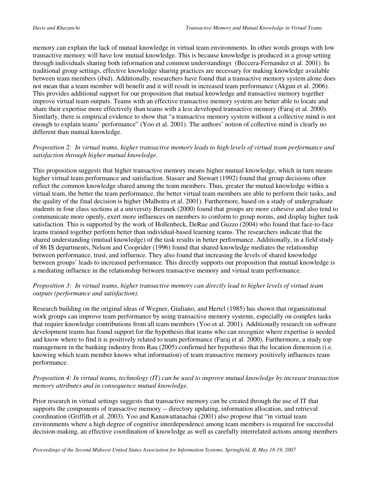memory can explain the lack of mutual knowledge in virtual team environments. In other words groups with low transactive memory will have low mutual knowledge. This is because knowledge is produced in a group setting through individuals sharing both information and common understandings (Beccera-Fernandez et al. 2001). In traditional group settings, effective knowledge sharing practices are necessary for making knowledge available between team members (ibid). Additionally, researchers have found that a transactive memory system alone does not mean that a team member will benefit and it will result in increased team performance (Akgun et al. 2006). This provides additional support for our proposition that mutual knowledge and transactive memory together improve virtual team outputs. Teams with an effective transactive memory system are better able to locate and share their expertise more effectively than teams with a less developed transactive memory (Faraj et al. 2000). Similarly, there is empirical evidence to show that "a transactive memory system without a collective mind is not enough to explain teams' performance" (Yoo et al. 2001). The authors' notion of collective mind is clearly no different than mutual knowledge.

## *Proposition 2: In virtual teams, higher transactive memory leads to high levels of virtual team performance and satisfaction through higher mutual knowledge.*

This proposition suggests that higher transactive memory means higher mutual knowledge, which in turn means higher virtual team performance and satisfaction. Stasser and Stewart (1992) found that group decisions often reflect the common knowledge shared among the team members. Thus, greater the mutual knowledge within a virtual team, the better the team performance, the better virtual team members are able to perform their tasks, and the quality of the final decision is higher (Malhotra et al. 2001). Furthermore, based on a study of undergraduate students in four class sections at a university Beranek (2000) found that groups are more cohesive and also tend to communicate more openly, exert more influences on members to conform to group norms, and display higher task satisfaction. This is supported by the work of Hollenbeck, DeRue and Guzzo (2004) who found that face-to-face teams trained together perform better than individual-based learning teams. The researchers indicate that the shared understanding (mutual knowledge) of the task results in better performance. Additionally, in a field study of 86 IS departments, Nelson and Cooprider (1996) found that shared knowledge mediates the relationship between performance, trust, and influence. They also found that increasing the levels of shared knowledge between groups' leads to increased performance. This directly supports our proposition that mutual knowledge is a mediating influence in the relationship between transactive memory and virtual team performance.

## *Proposition 3: In virtual teams, higher transactive memory can directly lead to higher levels of virtual team outputs (performance and satisfaction).*

Research building on the original ideas of Wegner, Giuliano, and Hertel (1985) has shown that organizational work groups can improve team performance by using transactive memory systems, especially on complex tasks that require knowledge contributions from all team members (Yoo et al. 2001). Additionally research on software development teams has found support for the hypothesis that teams who can recognize where expertise is needed and know where to find it is positively related to team performance (Faraj et al. 2000). Furthermore, a study top management in the banking industry from Rau (2005) confirmed her hypothesis that the location dimension (i.e. knowing which team member knows what information) of team transactive memory positively influences team performance.

## *Proposition 4: In virtual teams, technology (IT) can be used to improve mutual knowledge by increase transaction memory attributes and in consequence mutual knowledge.*

Prior research in virtual settings suggests that transactive memory can be created through the use of IT that supports the components of transactive memory -- directory updating, information allocation, and retrieval coordination (Griffith et al. 2003). Yoo and Kanawattanachai (2001) also propose that "in virtual team environments where a high degree of cognitive interdependence among team members is required for successful decision-making, an effective coordination of knowledge as well as carefully interrelated actions among members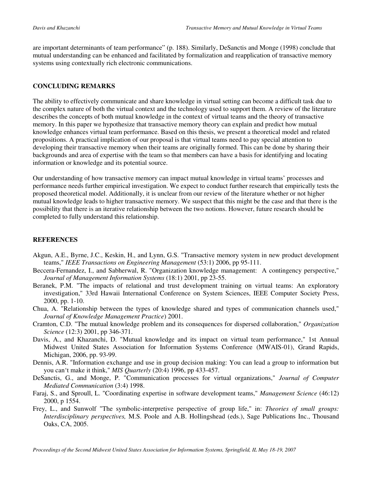are important determinants of team performance" (p. 188). Similarly, DeSanctis and Monge (1998) conclude that mutual understanding can be enhanced and facilitated by formalization and reapplication of transactive memory systems using contextually rich electronic communications.

## **CONCLUDING REMARKS**

The ability to effectively communicate and share knowledge in virtual setting can become a difficult task due to the complex nature of both the virtual context and the technology used to support them. A review of the literature describes the concepts of both mutual knowledge in the context of virtual teams and the theory of transactive memory. In this paper we hypothesize that transactive memory theory can explain and predict how mutual knowledge enhances virtual team performance. Based on this thesis, we present a theoretical model and related propositions. A practical implication of our proposal is that virtual teams need to pay special attention to developing their transactive memory when their teams are originally formed. This can be done by sharing their backgrounds and area of expertise with the team so that members can have a basis for identifying and locating information or knowledge and its potential source.

Our understanding of how transactive memory can impact mutual knowledge in virtual teams' processes and performance needs further empirical investigation. We expect to conduct further research that empirically tests the proposed theoretical model. Additionally, it is unclear from our review of the literature whether or not higher mutual knowledge leads to higher transactive memory. We suspect that this might be the case and that there is the possibility that there is an iterative relationship between the two notions. However, future research should be completed to fully understand this relationship.

## **REFERENCES**

- Akgun, A.E., Byrne, J.C., Keskin, H., and Lynn, G.S. "Transactive memory system in new product development teams," *IEEE Transactions on Engineering Management* (53:1) 2006, pp 95-111.
- Beccera-Fernandez, I., and Sabherwal, R. "Organization knowledge management: A contingency perspective," *Journal of Management Information Systems* (18:1) 2001, pp 23-55.
- Beranek, P.M. "The impacts of relational and trust development training on virtual teams: An exploratory investigation," 33rd Hawaii International Conference on System Sciences, IEEE Computer Society Press, 2000, pp. 1-10.
- Chua, A. "Relationship between the types of knowledge shared and types of communication channels used," *Journal of Knowledge Management Practice*) 2001.
- Cramton, C.D. "The mutual knowledge problem and its consequences for dispersed collaboration," *Organization Science* (12:3) 2001, pp 346-371.
- Davis, A., and Khazanchi, D. "Mutual knowledge and its impact on virtual team performance," 1st Annual Midwest United States Association for Information Systems Conference (MWAIS-01), Grand Rapids, Michigan, 2006, pp. 93-99.
- Dennis, A.R. "Information exchange and use in group decision making: You can lead a group to information but you can't make it think," *MIS Quarterly* (20:4) 1996, pp 433-457.
- DeSanctis, G., and Monge, P. "Communication processes for virtual organizations," *Journal of Computer Mediated Communication* (3:4) 1998.
- Faraj, S., and Sproull, L. "Coordinating expertise in software development teams," *Management Science* (46:12) 2000, p 1554.
- Frey, L., and Sunwolf "The symbolic-interpretive perspective of group life," in: *Theories of small groups: Interdisciplinary perspectives,* M.S. Poole and A.B. Hollingshead (eds.), Sage Publications Inc., Thousand Oaks, CA, 2005.